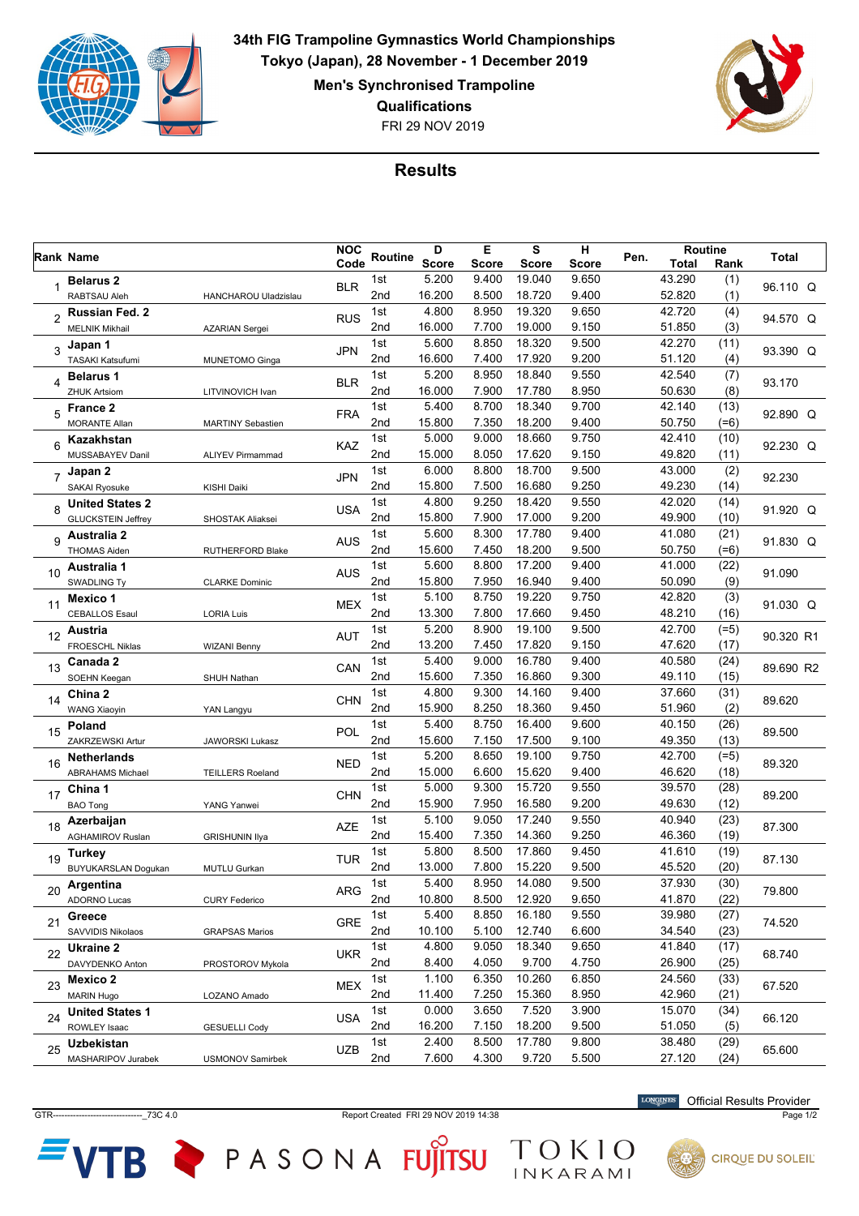

**34th FIG Trampoline Gymnastics World Championships Tokyo (Japan), 28 November - 1 December 2019 Men's Synchronised Trampoline**

**Qualifications**

FRI 29 NOV 2019



## **Results**

|                |                            |                          | <b>NOC</b> |                 | D            | Е     | S            | н            |      | Routine      |        |           |
|----------------|----------------------------|--------------------------|------------|-----------------|--------------|-------|--------------|--------------|------|--------------|--------|-----------|
|                | Rank Name                  |                          | Code       | <b>Routine</b>  | <b>Score</b> | Score | <b>Score</b> | <b>Score</b> | Pen. | <b>Total</b> | Rank   | Total     |
|                | <b>Belarus 2</b>           |                          | <b>BLR</b> | 1st             | 5.200        | 9.400 | 19.040       | 9.650        |      | 43.290       | (1)    | 96.110 Q  |
|                | RABTSAU Aleh               | HANCHAROU Uladzislau     |            | 2nd             | 16.200       | 8.500 | 18.720       | 9.400        |      | 52.820       | (1)    |           |
| 2              | Russian Fed. 2             |                          | <b>RUS</b> | 1st             | 4.800        | 8.950 | 19.320       | 9.650        |      | 42.720       | (4)    | 94.570 Q  |
|                | <b>MELNIK Mikhail</b>      | <b>AZARIAN Sergei</b>    |            | 2nd             | 16.000       | 7.700 | 19.000       | 9.150        |      | 51.850       | (3)    |           |
| 3              | Japan 1                    |                          | <b>JPN</b> | 1st             | 5.600        | 8.850 | 18.320       | 9.500        |      | 42.270       | (11)   | 93.390 Q  |
|                | TASAKI Katsufumi           | <b>MUNETOMO Ginga</b>    |            | 2nd             | 16.600       | 7.400 | 17.920       | 9.200        |      | 51.120       | (4)    |           |
| 4              | <b>Belarus 1</b>           |                          | <b>BLR</b> | 1st             | 5.200        | 8.950 | 18.840       | 9.550        |      | 42.540       | (7)    | 93.170    |
|                | <b>ZHUK Artsiom</b>        | LITVINOVICH Ivan         |            | 2nd             | 16.000       | 7.900 | 17.780       | 8.950        |      | 50.630       | (8)    |           |
| 5              | <b>France 2</b>            |                          | <b>FRA</b> | 1st             | 5.400        | 8.700 | 18.340       | 9.700        |      | 42.140       | (13)   | 92.890 Q  |
|                | <b>MORANTE Allan</b>       | <b>MARTINY Sebastien</b> |            | 2nd             | 15.800       | 7.350 | 18.200       | 9.400        |      | 50.750       | $(=6)$ |           |
| 6              | Kazakhstan                 |                          | KAZ        | 1st             | 5.000        | 9.000 | 18.660       | 9.750        |      | 42.410       | (10)   | 92.230 Q  |
|                | MUSSABAYEV Danil           | <b>ALIYEV Pirmammad</b>  |            | 2nd             | 15.000       | 8.050 | 17.620       | 9.150        |      | 49.820       | (11)   |           |
| 7              | Japan 2                    |                          | <b>JPN</b> | 1st             | 6.000        | 8.800 | 18.700       | 9.500        |      | 43.000       | (2)    | 92.230    |
|                | <b>SAKAI Ryosuke</b>       | KISHI Daiki              |            | 2nd             | 15.800       | 7.500 | 16.680       | 9.250        |      | 49.230       | (14)   |           |
| 8              | <b>United States 2</b>     |                          | <b>USA</b> | 1st             | 4.800        | 9.250 | 18.420       | 9.550        |      | 42.020       | (14)   | 91.920 Q  |
|                | <b>GLUCKSTEIN Jeffrey</b>  | <b>SHOSTAK Aliaksei</b>  |            | 2nd             | 15.800       | 7.900 | 17.000       | 9.200        |      | 49.900       | (10)   |           |
| 9              | <b>Australia 2</b>         |                          | AUS        | 1st             | 5.600        | 8.300 | 17.780       | 9.400        |      | 41.080       | (21)   |           |
|                | <b>THOMAS Aiden</b>        | RUTHERFORD Blake         |            | 2nd             | 15.600       | 7.450 | 18.200       | 9.500        |      | 50.750       | $(=6)$ | 91.830 Q  |
|                | Australia 1                |                          |            | 1st             | 5.600        | 8.800 | 17.200       | 9.400        |      | 41.000       | (22)   |           |
| 10             | <b>SWADLING Ty</b>         | <b>CLARKE Dominic</b>    | <b>AUS</b> | 2nd             | 15.800       | 7.950 | 16.940       | 9.400        |      | 50.090       | (9)    | 91.090    |
|                | Mexico 1                   |                          |            | 1st             | 5.100        | 8.750 | 19.220       | 9.750        |      | 42.820       | (3)    |           |
| 11             | <b>CEBALLOS Esaul</b>      | <b>LORIA Luis</b>        | <b>MEX</b> | 2nd             | 13.300       | 7.800 | 17.660       | 9.450        |      | 48.210       | (16)   | 91.030 Q  |
|                | Austria                    |                          |            | 1st             | 5.200        | 8.900 | 19.100       | 9.500        |      | 42.700       | $(=5)$ |           |
| 12             | FROESCHL Niklas            | <b>WIZANI Benny</b>      | <b>AUT</b> | 2nd             | 13.200       | 7.450 | 17.820       | 9.150        |      | 47.620       | (17)   | 90.320 R1 |
|                | Canada 2                   |                          |            | 1st             | 5.400        | 9.000 | 16.780       | 9.400        |      | 40.580       | (24)   |           |
| 13             | SOEHN Keegan               | <b>SHUH Nathan</b>       | CAN        | 2nd             | 15.600       | 7.350 | 16.860       | 9.300        |      | 49.110       | (15)   | 89.690 R2 |
|                | China 2                    |                          | <b>CHN</b> | 1st             | 4.800        | 9.300 | 14.160       | 9.400        |      | 37.660       | (31)   | 89.620    |
| 14             | <b>WANG Xiaoyin</b>        | YAN Langyu               |            | 2nd             | 15.900       | 8.250 | 18.360       | 9.450        |      | 51.960       | (2)    |           |
|                | Poland                     |                          |            | 1st             | 5.400        | 8.750 | 16.400       | 9.600        |      | 40.150       | (26)   | 89.500    |
| 15             | ZAKRZEWSKI Artur           | JAWORSKI Lukasz          | POL        | 2 <sub>nd</sub> | 15.600       | 7.150 | 17.500       | 9.100        |      | 49.350       | (13)   |           |
|                | <b>Netherlands</b>         |                          |            | 1st             | 5.200        | 8.650 | 19.100       | 9.750        |      | 42.700       | $(=5)$ | 89.320    |
| 16             | <b>ABRAHAMS Michael</b>    | <b>TEILLERS Roeland</b>  | <b>NED</b> | 2nd             | 15.000       | 6.600 | 15.620       | 9.400        |      | 46.620       | (18)   |           |
|                | China 1                    |                          |            | 1st             | 5.000        | 9.300 | 15.720       | 9.550        |      | 39.570       | (28)   | 89.200    |
| 17             | <b>BAO Tong</b>            | YANG Yanwei              | <b>CHN</b> | 2nd             | 15.900       | 7.950 | 16.580       | 9.200        |      | 49.630       | (12)   |           |
| 18             | Azerbaijan                 |                          | <b>AZE</b> | 1st             | 5.100        | 9.050 | 17.240       | 9.550        |      | 40.940       | (23)   |           |
|                | <b>AGHAMIROV Ruslan</b>    | <b>GRISHUNIN Ilya</b>    |            | 2nd             | 15.400       | 7.350 | 14.360       | 9.250        |      | 46.360       | (19)   | 87.300    |
| 19             | Turkey                     |                          | <b>TUR</b> | 1st             | 5.800        | 8.500 | 17.860       | 9.450        |      | 41.610       | (19)   |           |
|                | <b>BUYUKARSLAN Dogukan</b> | MUTLU Gurkan             |            | 2nd             | 13.000       | 7.800 | 15.220       | 9.500        |      | 45.520       | (20)   | 87.130    |
|                | Argentina                  |                          |            | 1st             | 5.400        | 8.950 | 14.080       | 9.500        |      | 37.930       | (30)   |           |
| 20             | <b>ADORNO Lucas</b>        | <b>CURY Federico</b>     | ARG        | 2nd             | 10.800       | 8.500 | 12.920       | 9.650        |      | 41.870       | (22)   | 79.800    |
| 21<br>22<br>23 | Greece                     |                          |            | 1st             | 5.400        | 8.850 | 16.180       | 9.550        |      | 39.980       | (27)   |           |
|                | SAVVIDIS Nikolaos          | <b>GRAPSAS Marios</b>    | <b>GRE</b> | 2nd             | 10.100       | 5.100 | 12.740       | 6.600        |      | 34.540       | (23)   | 74.520    |
|                | Ukraine 2                  |                          |            | 1st             | 4.800        | 9.050 | 18.340       | 9.650        |      | 41.840       | (17)   | 68.740    |
|                | DAVYDENKO Anton            | PROSTOROV Mykola         | <b>UKR</b> | 2nd             | 8.400        | 4.050 | 9.700        | 4.750        |      | 26.900       | (25)   |           |
|                | Mexico 2                   |                          |            | 1st             | 1.100        | 6.350 | 10.260       | 6.850        |      | 24.560       | (33)   | 67.520    |
|                | <b>MARIN Hugo</b>          | LOZANO Amado             | <b>MEX</b> | 2nd             | 11.400       | 7.250 | 15.360       | 8.950        |      | 42.960       | (21)   |           |
| 24             | <b>United States 1</b>     |                          |            | 1st             | 0.000        | 3.650 | 7.520        | 3.900        |      | 15.070       | (34)   | 66.120    |
|                | ROWLEY Isaac               | <b>GESUELLI Cody</b>     | <b>USA</b> | 2nd             | 16.200       | 7.150 | 18.200       | 9.500        |      | 51.050       | (5)    |           |
|                | <b>Uzbekistan</b>          |                          |            | 1st             | 2.400        | 8.500 | 17.780       | 9.800        |      | 38.480       | (29)   |           |
| 25             | MASHARIPOV Jurabek         | <b>USMONOV Samirbek</b>  | <b>UZB</b> | 2nd             | 7.600        | 4.300 | 9.720        | 5.500        |      | 27.120       | (24)   | 65.600    |

GTR-------------------------------\_73C 4.0 Report Created FRI 29 NOV 2019 14:38 Page 1/2

TOKIO

VTB PASONA FUJITSU

Official Results Provider